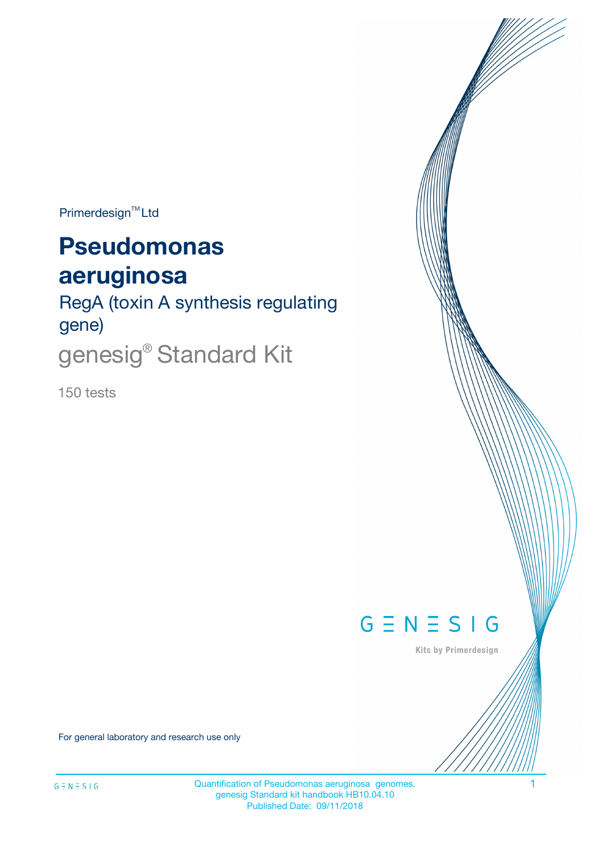$Primerdesign^{\text{TM}}Ltd$ 

# **Pseudomonas aeruginosa**

RegA (toxin A synthesis regulating gene) genesig<sup>®</sup> Standard Kit

150 tests



Kits by Primerdesign

For general laboratory and research use only

Quantification of Pseudomonas aeruginosa genomes. 1 genesig Standard kit handbook HB10.04.10 Published Date: 09/11/2018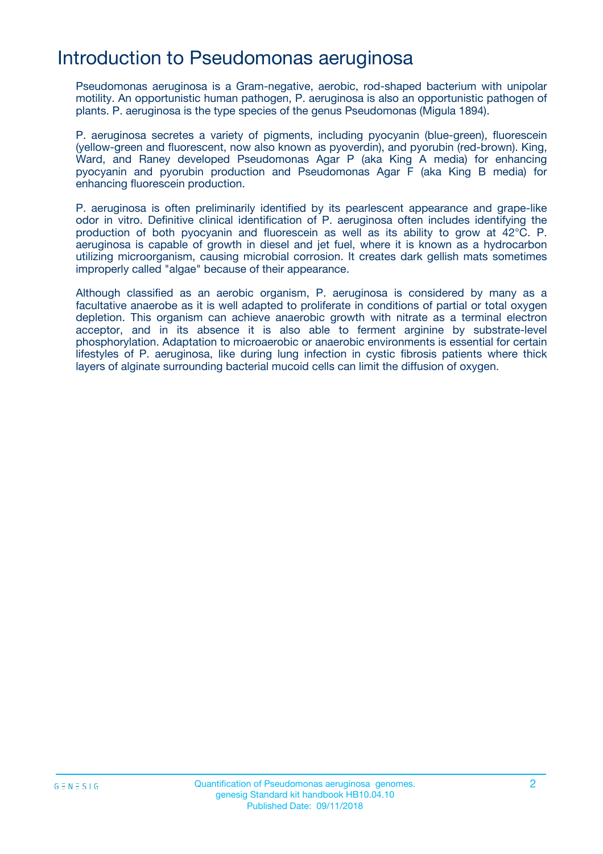### Introduction to Pseudomonas aeruginosa

Pseudomonas aeruginosa is a Gram-negative, aerobic, rod-shaped bacterium with unipolar motility. An opportunistic human pathogen, P. aeruginosa is also an opportunistic pathogen of plants. P. aeruginosa is the type species of the genus Pseudomonas (Migula 1894).

P. aeruginosa secretes a variety of pigments, including pyocyanin (blue-green), fluorescein (yellow-green and fluorescent, now also known as pyoverdin), and pyorubin (red-brown). King, Ward, and Raney developed Pseudomonas Agar P (aka King A media) for enhancing pyocyanin and pyorubin production and Pseudomonas Agar F (aka King B media) for enhancing fluorescein production.

P. aeruginosa is often preliminarily identified by its pearlescent appearance and grape-like odor in vitro. Definitive clinical identification of P. aeruginosa often includes identifying the production of both pyocyanin and fluorescein as well as its ability to grow at 42°C. P. aeruginosa is capable of growth in diesel and jet fuel, where it is known as a hydrocarbon utilizing microorganism, causing microbial corrosion. It creates dark gellish mats sometimes improperly called "algae" because of their appearance.

Although classified as an aerobic organism, P. aeruginosa is considered by many as a facultative anaerobe as it is well adapted to proliferate in conditions of partial or total oxygen depletion. This organism can achieve anaerobic growth with nitrate as a terminal electron acceptor, and in its absence it is also able to ferment arginine by substrate-level phosphorylation. Adaptation to microaerobic or anaerobic environments is essential for certain lifestyles of P. aeruginosa, like during lung infection in cystic fibrosis patients where thick layers of alginate surrounding bacterial mucoid cells can limit the diffusion of oxygen.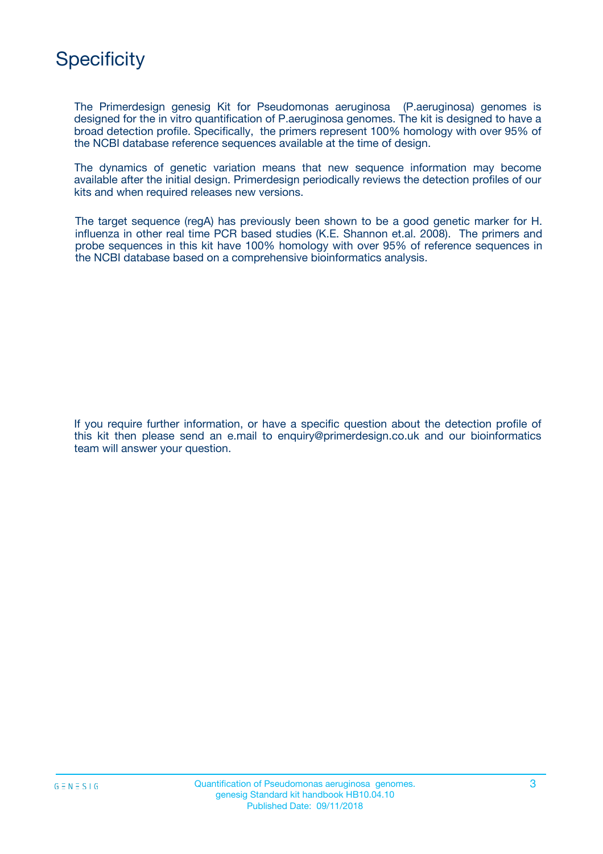# **Specificity**

The Primerdesign genesig Kit for Pseudomonas aeruginosa (P.aeruginosa) genomes is designed for the in vitro quantification of P.aeruginosa genomes. The kit is designed to have a broad detection profile. Specifically, the primers represent 100% homology with over 95% of the NCBI database reference sequences available at the time of design.

The dynamics of genetic variation means that new sequence information may become available after the initial design. Primerdesign periodically reviews the detection profiles of our kits and when required releases new versions.

The target sequence (regA) has previously been shown to be a good genetic marker for H. influenza in other real time PCR based studies (K.E. Shannon et.al. 2008). The primers and probe sequences in this kit have 100% homology with over 95% of reference sequences in the NCBI database based on a comprehensive bioinformatics analysis.

If you require further information, or have a specific question about the detection profile of this kit then please send an e.mail to enquiry@primerdesign.co.uk and our bioinformatics team will answer your question.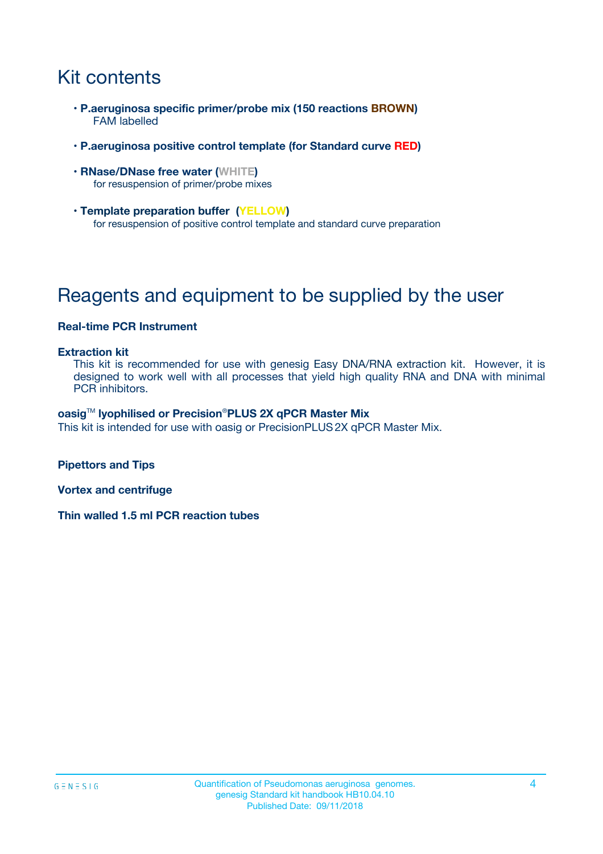# Kit contents

- **P.aeruginosa specific primer/probe mix (150 reactions BROWN)** FAM labelled
- **P.aeruginosa positive control template (for Standard curve RED)**
- **RNase/DNase free water (WHITE)** for resuspension of primer/probe mixes
- **Template preparation buffer (YELLOW)** for resuspension of positive control template and standard curve preparation

# Reagents and equipment to be supplied by the user

#### **Real-time PCR Instrument**

#### **Extraction kit**

This kit is recommended for use with genesig Easy DNA/RNA extraction kit. However, it is designed to work well with all processes that yield high quality RNA and DNA with minimal PCR inhibitors.

#### **oasig**TM **lyophilised or Precision**®**PLUS 2X qPCR Master Mix**

This kit is intended for use with oasig or PrecisionPLUS2X qPCR Master Mix.

**Pipettors and Tips**

**Vortex and centrifuge**

**Thin walled 1.5 ml PCR reaction tubes**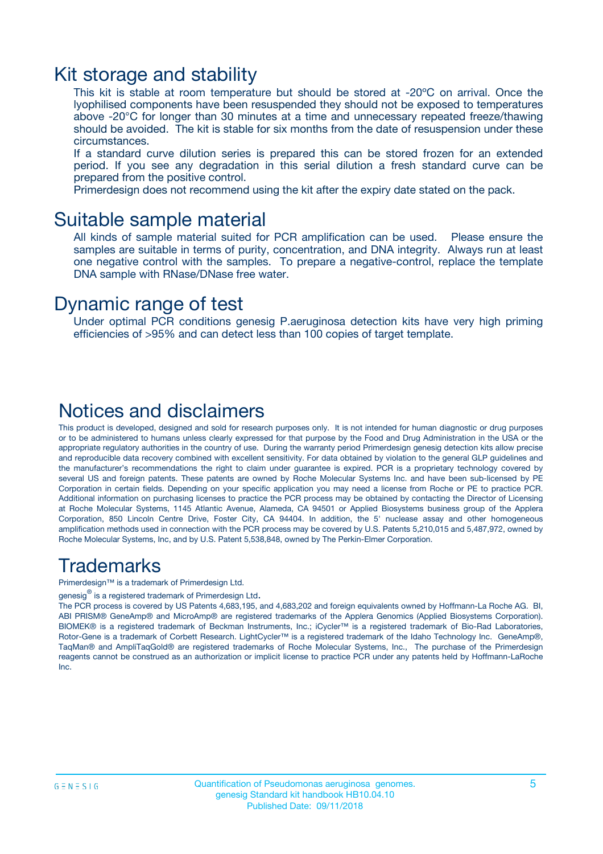### Kit storage and stability

This kit is stable at room temperature but should be stored at -20ºC on arrival. Once the lyophilised components have been resuspended they should not be exposed to temperatures above -20°C for longer than 30 minutes at a time and unnecessary repeated freeze/thawing should be avoided. The kit is stable for six months from the date of resuspension under these circumstances.

If a standard curve dilution series is prepared this can be stored frozen for an extended period. If you see any degradation in this serial dilution a fresh standard curve can be prepared from the positive control.

Primerdesign does not recommend using the kit after the expiry date stated on the pack.

### Suitable sample material

All kinds of sample material suited for PCR amplification can be used. Please ensure the samples are suitable in terms of purity, concentration, and DNA integrity. Always run at least one negative control with the samples. To prepare a negative-control, replace the template DNA sample with RNase/DNase free water.

### Dynamic range of test

Under optimal PCR conditions genesig P.aeruginosa detection kits have very high priming efficiencies of >95% and can detect less than 100 copies of target template.

### Notices and disclaimers

This product is developed, designed and sold for research purposes only. It is not intended for human diagnostic or drug purposes or to be administered to humans unless clearly expressed for that purpose by the Food and Drug Administration in the USA or the appropriate regulatory authorities in the country of use. During the warranty period Primerdesign genesig detection kits allow precise and reproducible data recovery combined with excellent sensitivity. For data obtained by violation to the general GLP guidelines and the manufacturer's recommendations the right to claim under guarantee is expired. PCR is a proprietary technology covered by several US and foreign patents. These patents are owned by Roche Molecular Systems Inc. and have been sub-licensed by PE Corporation in certain fields. Depending on your specific application you may need a license from Roche or PE to practice PCR. Additional information on purchasing licenses to practice the PCR process may be obtained by contacting the Director of Licensing at Roche Molecular Systems, 1145 Atlantic Avenue, Alameda, CA 94501 or Applied Biosystems business group of the Applera Corporation, 850 Lincoln Centre Drive, Foster City, CA 94404. In addition, the 5' nuclease assay and other homogeneous amplification methods used in connection with the PCR process may be covered by U.S. Patents 5,210,015 and 5,487,972, owned by Roche Molecular Systems, Inc, and by U.S. Patent 5,538,848, owned by The Perkin-Elmer Corporation.

### Trademarks

Primerdesign™ is a trademark of Primerdesign Ltd.

genesig $^\circledR$  is a registered trademark of Primerdesign Ltd.

The PCR process is covered by US Patents 4,683,195, and 4,683,202 and foreign equivalents owned by Hoffmann-La Roche AG. BI, ABI PRISM® GeneAmp® and MicroAmp® are registered trademarks of the Applera Genomics (Applied Biosystems Corporation). BIOMEK® is a registered trademark of Beckman Instruments, Inc.; iCycler™ is a registered trademark of Bio-Rad Laboratories, Rotor-Gene is a trademark of Corbett Research. LightCycler™ is a registered trademark of the Idaho Technology Inc. GeneAmp®, TaqMan® and AmpliTaqGold® are registered trademarks of Roche Molecular Systems, Inc., The purchase of the Primerdesign reagents cannot be construed as an authorization or implicit license to practice PCR under any patents held by Hoffmann-LaRoche Inc.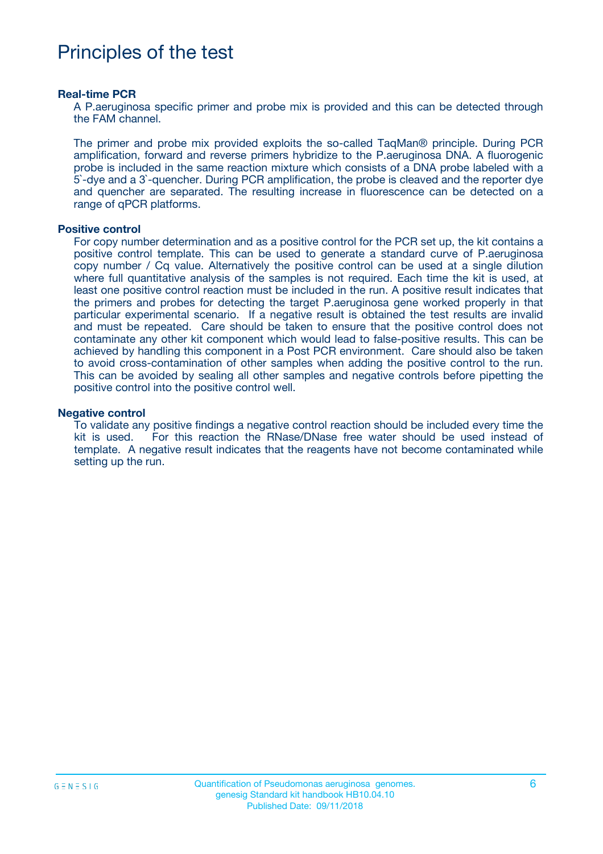# Principles of the test

#### **Real-time PCR**

A P.aeruginosa specific primer and probe mix is provided and this can be detected through the FAM channel.

The primer and probe mix provided exploits the so-called TaqMan® principle. During PCR amplification, forward and reverse primers hybridize to the P.aeruginosa DNA. A fluorogenic probe is included in the same reaction mixture which consists of a DNA probe labeled with a 5`-dye and a 3`-quencher. During PCR amplification, the probe is cleaved and the reporter dye and quencher are separated. The resulting increase in fluorescence can be detected on a range of qPCR platforms.

#### **Positive control**

For copy number determination and as a positive control for the PCR set up, the kit contains a positive control template. This can be used to generate a standard curve of P.aeruginosa copy number / Cq value. Alternatively the positive control can be used at a single dilution where full quantitative analysis of the samples is not required. Each time the kit is used, at least one positive control reaction must be included in the run. A positive result indicates that the primers and probes for detecting the target P.aeruginosa gene worked properly in that particular experimental scenario. If a negative result is obtained the test results are invalid and must be repeated. Care should be taken to ensure that the positive control does not contaminate any other kit component which would lead to false-positive results. This can be achieved by handling this component in a Post PCR environment. Care should also be taken to avoid cross-contamination of other samples when adding the positive control to the run. This can be avoided by sealing all other samples and negative controls before pipetting the positive control into the positive control well.

#### **Negative control**

To validate any positive findings a negative control reaction should be included every time the kit is used. For this reaction the RNase/DNase free water should be used instead of template. A negative result indicates that the reagents have not become contaminated while setting up the run.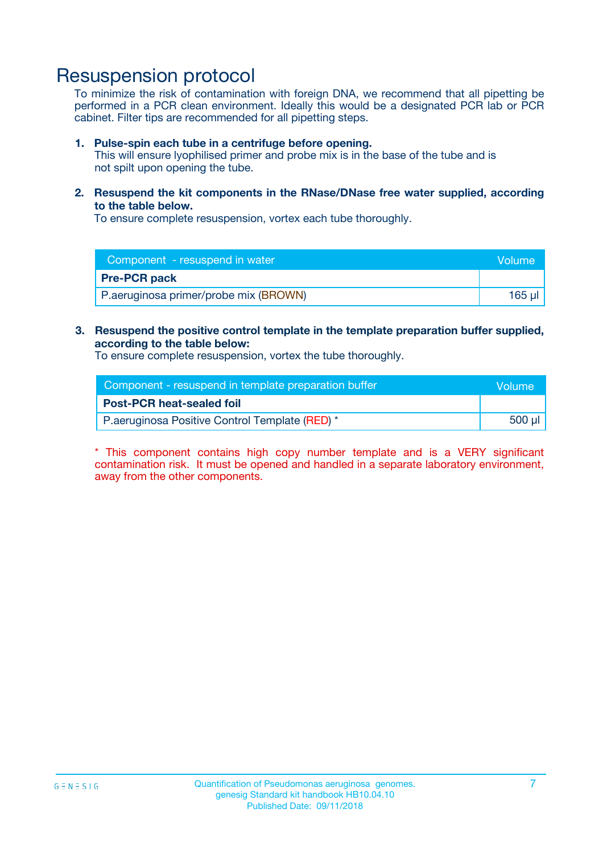# Resuspension protocol

To minimize the risk of contamination with foreign DNA, we recommend that all pipetting be performed in a PCR clean environment. Ideally this would be a designated PCR lab or PCR cabinet. Filter tips are recommended for all pipetting steps.

#### **1. Pulse-spin each tube in a centrifuge before opening.**

This will ensure lyophilised primer and probe mix is in the base of the tube and is not spilt upon opening the tube.

**2. Resuspend the kit components in the RNase/DNase free water supplied, according to the table below.**

To ensure complete resuspension, vortex each tube thoroughly.

| Component - resuspend in water        | Volume |
|---------------------------------------|--------|
| <b>Pre-PCR pack</b>                   |        |
| P.aeruginosa primer/probe mix (BROWN) | 165 ul |

### **3. Resuspend the positive control template in the template preparation buffer supplied, according to the table below:**

To ensure complete resuspension, vortex the tube thoroughly.

| Component - resuspend in template preparation buffer | Wolume!     |
|------------------------------------------------------|-------------|
| <b>Post-PCR heat-sealed foil</b>                     |             |
| P.aeruginosa Positive Control Template (RED) *       | $500$ $\mu$ |

\* This component contains high copy number template and is a VERY significant contamination risk. It must be opened and handled in a separate laboratory environment, away from the other components.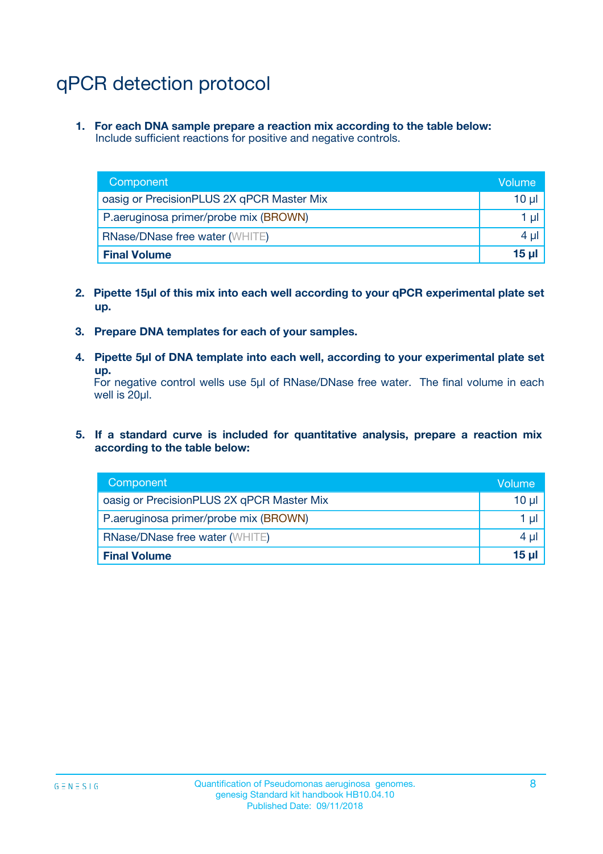# qPCR detection protocol

**1. For each DNA sample prepare a reaction mix according to the table below:** Include sufficient reactions for positive and negative controls.

| Component                                 | Volume   |
|-------------------------------------------|----------|
| oasig or PrecisionPLUS 2X qPCR Master Mix | 10 $\mu$ |
| P.aeruginosa primer/probe mix (BROWN)     | 1 $\mu$  |
| <b>RNase/DNase free water (WHITE)</b>     | $4 \mu$  |
| <b>Final Volume</b>                       | $15 \mu$ |

- **2. Pipette 15µl of this mix into each well according to your qPCR experimental plate set up.**
- **3. Prepare DNA templates for each of your samples.**
- **4. Pipette 5µl of DNA template into each well, according to your experimental plate set up.**

For negative control wells use 5µl of RNase/DNase free water. The final volume in each well is 20µl.

**5. If a standard curve is included for quantitative analysis, prepare a reaction mix according to the table below:**

| Component                                 | Volume     |
|-------------------------------------------|------------|
| oasig or PrecisionPLUS 2X qPCR Master Mix | 10 µl      |
| P.aeruginosa primer/probe mix (BROWN)     | 1 µI       |
| <b>RNase/DNase free water (WHITE)</b>     | $4 \mu$    |
| <b>Final Volume</b>                       | $15$ $\mu$ |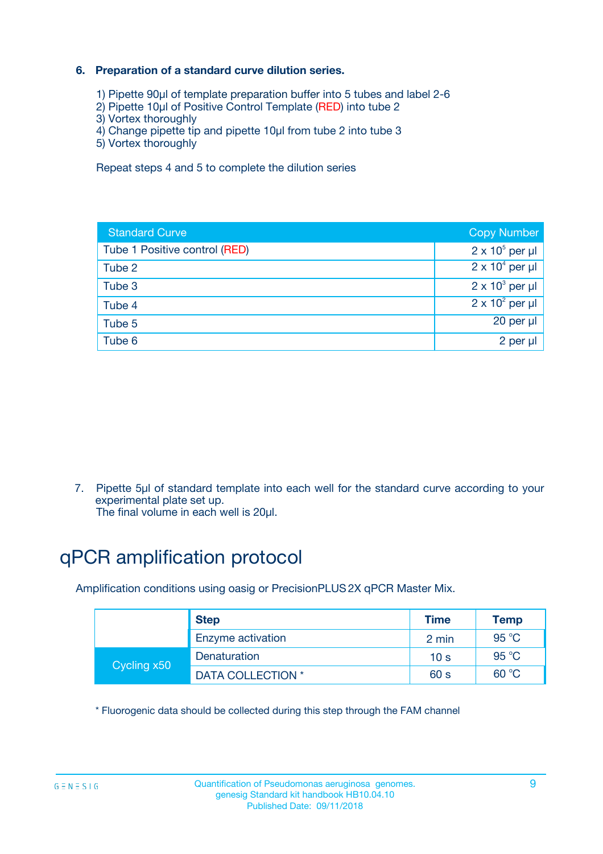### **6. Preparation of a standard curve dilution series.**

- 1) Pipette 90µl of template preparation buffer into 5 tubes and label 2-6
- 2) Pipette 10µl of Positive Control Template (RED) into tube 2
- 3) Vortex thoroughly
- 4) Change pipette tip and pipette 10µl from tube 2 into tube 3
- 5) Vortex thoroughly

Repeat steps 4 and 5 to complete the dilution series

| <b>Standard Curve</b>         | <b>Copy Number</b>     |
|-------------------------------|------------------------|
| Tube 1 Positive control (RED) | $2 \times 10^5$ per µl |
| Tube 2                        | $2 \times 10^4$ per µl |
| Tube 3                        | $2 \times 10^3$ per µl |
| Tube 4                        | $2 \times 10^2$ per µl |
| Tube 5                        | 20 per µl              |
| Tube 6                        | $2$ per $\mu$          |

7. Pipette 5µl of standard template into each well for the standard curve according to your experimental plate set up.

The final volume in each well is 20µl.

# qPCR amplification protocol

Amplification conditions using oasig or PrecisionPLUS2X qPCR Master Mix.

|             | <b>Step</b>       | <b>Time</b>     | Temp    |
|-------------|-------------------|-----------------|---------|
|             | Enzyme activation | 2 min           | 95 $°C$ |
| Cycling x50 | Denaturation      | 10 <sub>s</sub> | 95 $°C$ |
|             | DATA COLLECTION * | 60 s            | 60 °C   |

\* Fluorogenic data should be collected during this step through the FAM channel